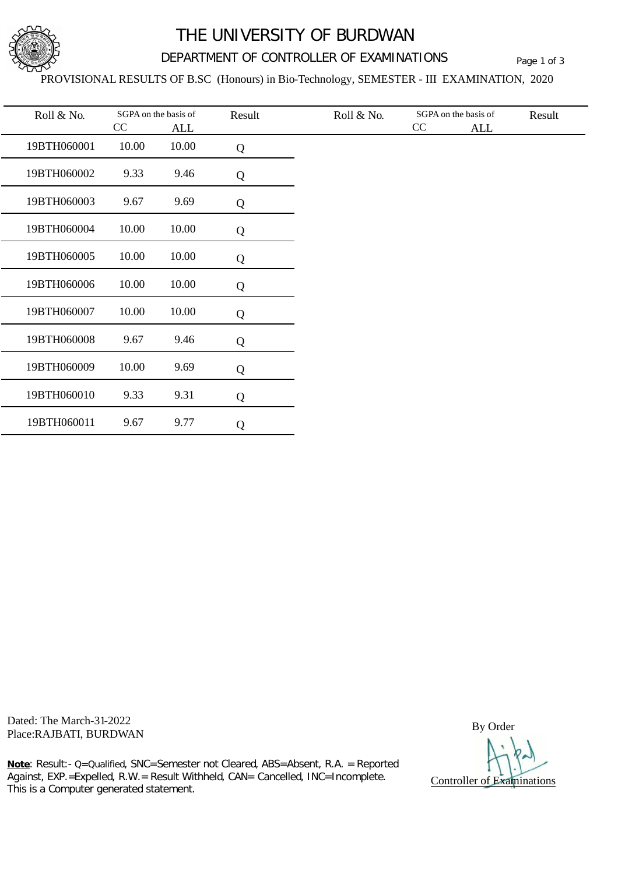

## THE UNIVERSITY OF BURDWAN

## DEPARTMENT OF CONTROLLER OF EXAMINATIONS Page 1 of 3

#### PROVISIONAL RESULTS OF B.SC (Honours) in Bio-Technology, SEMESTER - III EXAMINATION, 2020

| Roll & No.  | SGPA on the basis of<br>CC |                     | Result | Roll & No. | SGPA on the basis of<br>$\rm CC$ |            | Result |
|-------------|----------------------------|---------------------|--------|------------|----------------------------------|------------|--------|
| 19BTH060001 | 10.00                      | <b>ALL</b><br>10.00 | Q      |            |                                  | <b>ALL</b> |        |
| 19BTH060002 | 9.33                       | 9.46                | Q      |            |                                  |            |        |
| 19BTH060003 | 9.67                       | 9.69                | Q      |            |                                  |            |        |
| 19BTH060004 | 10.00                      | 10.00               | Q      |            |                                  |            |        |
| 19BTH060005 | 10.00                      | 10.00               | Q      |            |                                  |            |        |
| 19BTH060006 | 10.00                      | 10.00               | Q      |            |                                  |            |        |
| 19BTH060007 | 10.00                      | 10.00               | Q      |            |                                  |            |        |
| 19BTH060008 | 9.67                       | 9.46                | Q      |            |                                  |            |        |
| 19BTH060009 | 10.00                      | 9.69                | Q      |            |                                  |            |        |
| 19BTH060010 | 9.33                       | 9.31                | Q      |            |                                  |            |        |
| 19BTH060011 | 9.67                       | 9.77                | Q      |            |                                  |            |        |

Dated: The March-31-2022 Place: The March-51-2022<br>Place:RAJBATI, BURDWAN By Order

Controller of Examinations

**Note**: Result:- Q=Qualified, SNC=Semester not Cleared, ABS=Absent, R.A. = Reported Against, EXP.=Expelled, R.W.= Result Withheld, CAN= Cancelled, INC=Incomplete. This is a Computer generated statement.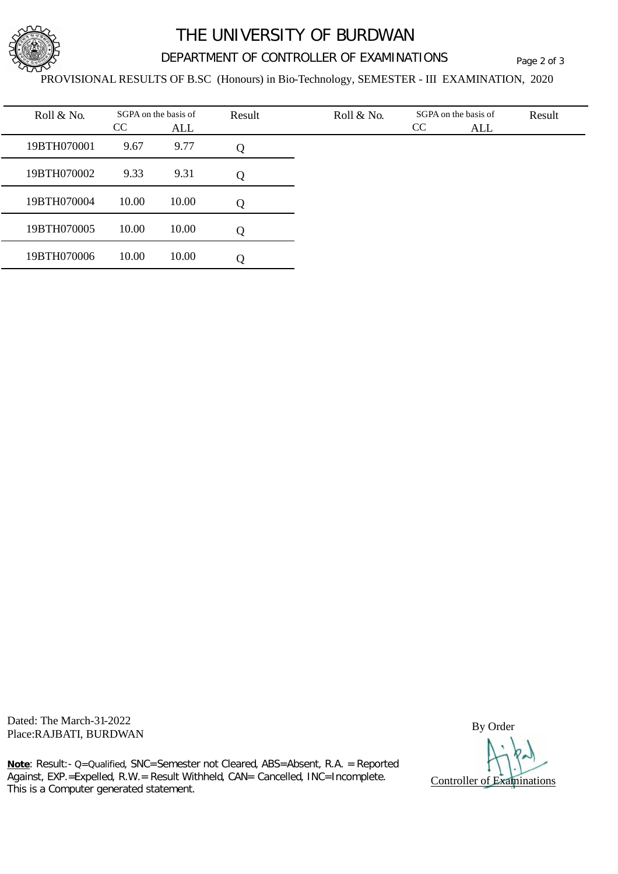

# THE UNIVERSITY OF BURDWAN

## DEPARTMENT OF CONTROLLER OF EXAMINATIONS Page 2 of 3

PROVISIONAL RESULTS OF B.SC (Honours) in Bio-Technology, SEMESTER - III EXAMINATION, 2020

| Roll & No.  | CC    | SGPA on the basis of<br>ALL | Result | Roll & No. | SGPA on the basis of<br>CC<br>ALL | Result |
|-------------|-------|-----------------------------|--------|------------|-----------------------------------|--------|
| 19BTH070001 | 9.67  | 9.77                        | Q      |            |                                   |        |
| 19BTH070002 | 9.33  | 9.31                        | Q      |            |                                   |        |
| 19BTH070004 | 10.00 | 10.00                       | Q      |            |                                   |        |
| 19BTH070005 | 10.00 | 10.00                       | Q      |            |                                   |        |
| 19BTH070006 | 10.00 | 10.00                       | Q      |            |                                   |        |

Dated: The March-31-2022 Place: The March-51-2022<br>Place:RAJBATI, BURDWAN By Order

Controller of Examinations

**Note**: Result:- Q=Qualified, SNC=Semester not Cleared, ABS=Absent, R.A. = Reported Against, EXP.=Expelled, R.W.= Result Withheld, CAN= Cancelled, INC=Incomplete. This is a Computer generated statement.